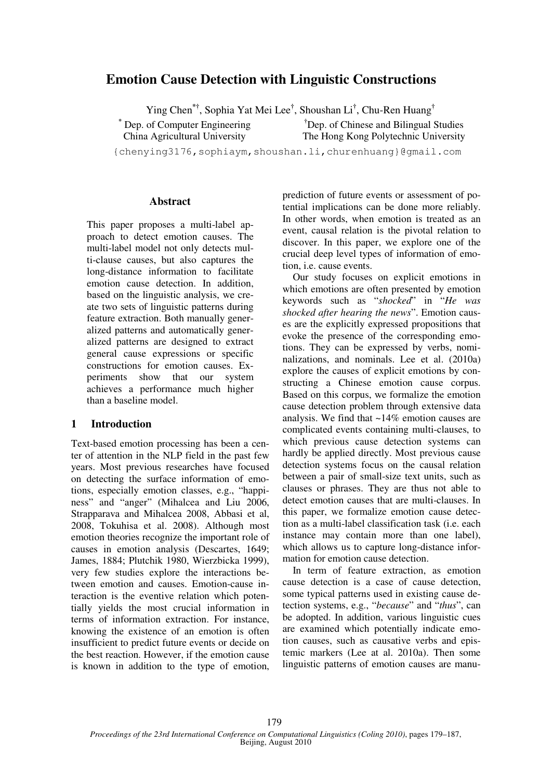# **Emotion Cause Detection with Linguistic Constructions**

Ying Chen**\*†**, Sophia Yat Mei Lee**†** , Shoushan Li**†** , Chu-Ren Huang**†**

**\*** Dep. of Computer Engineering China Agricultural University

**†**Dep. of Chinese and Bilingual Studies The Hong Kong Polytechnic University

{chenying3176,sophiaym,shoushan.li,churenhuang}@gmail.com

### **Abstract**

This paper proposes a multi-label approach to detect emotion causes. The multi-label model not only detects multi-clause causes, but also captures the long-distance information to facilitate emotion cause detection. In addition, based on the linguistic analysis, we create two sets of linguistic patterns during feature extraction. Both manually generalized patterns and automatically generalized patterns are designed to extract general cause expressions or specific constructions for emotion causes. Experiments show that our system achieves a performance much higher than a baseline model.

# **1 Introduction**

Text-based emotion processing has been a center of attention in the NLP field in the past few years. Most previous researches have focused on detecting the surface information of emotions, especially emotion classes, e.g., "happiness" and "anger" (Mihalcea and Liu 2006, Strapparava and Mihalcea 2008, Abbasi et al, 2008, Tokuhisa et al. 2008). Although most emotion theories recognize the important role of causes in emotion analysis (Descartes, 1649; James, 1884; Plutchik 1980, Wierzbicka 1999), very few studies explore the interactions between emotion and causes. Emotion-cause interaction is the eventive relation which potentially yields the most crucial information in terms of information extraction. For instance, knowing the existence of an emotion is often insufficient to predict future events or decide on the best reaction. However, if the emotion cause is known in addition to the type of emotion,

prediction of future events or assessment of potential implications can be done more reliably. In other words, when emotion is treated as an event, causal relation is the pivotal relation to discover. In this paper, we explore one of the crucial deep level types of information of emotion, i.e. cause events.

Our study focuses on explicit emotions in which emotions are often presented by emotion keywords such as "*shocked*" in "*He was shocked after hearing the news*". Emotion causes are the explicitly expressed propositions that evoke the presence of the corresponding emotions. They can be expressed by verbs, nominalizations, and nominals. Lee et al. (2010a) explore the causes of explicit emotions by constructing a Chinese emotion cause corpus. Based on this corpus, we formalize the emotion cause detection problem through extensive data analysis. We find that ~14% emotion causes are complicated events containing multi-clauses, to which previous cause detection systems can hardly be applied directly. Most previous cause detection systems focus on the causal relation between a pair of small-size text units, such as clauses or phrases. They are thus not able to detect emotion causes that are multi-clauses. In this paper, we formalize emotion cause detection as a multi-label classification task (i.e. each instance may contain more than one label), which allows us to capture long-distance information for emotion cause detection.

In term of feature extraction, as emotion cause detection is a case of cause detection, some typical patterns used in existing cause detection systems, e.g., "*because*" and "*thus*", can be adopted. In addition, various linguistic cues are examined which potentially indicate emotion causes, such as causative verbs and epistemic markers (Lee at al. 2010a). Then some linguistic patterns of emotion causes are manu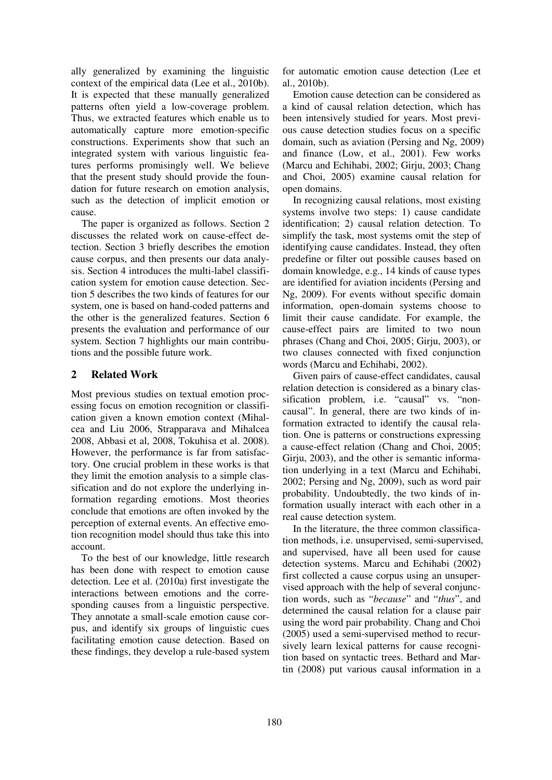ally generalized by examining the linguistic context of the empirical data (Lee et al., 2010b). It is expected that these manually generalized patterns often yield a low-coverage problem. Thus, we extracted features which enable us to automatically capture more emotion-specific constructions. Experiments show that such an integrated system with various linguistic features performs promisingly well. We believe that the present study should provide the foundation for future research on emotion analysis, such as the detection of implicit emotion or cause.

The paper is organized as follows. Section 2 discusses the related work on cause-effect detection. Section 3 briefly describes the emotion cause corpus, and then presents our data analysis. Section 4 introduces the multi-label classification system for emotion cause detection. Section 5 describes the two kinds of features for our system, one is based on hand-coded patterns and the other is the generalized features. Section 6 presents the evaluation and performance of our system. Section 7 highlights our main contributions and the possible future work.

# **2 Related Work**

Most previous studies on textual emotion processing focus on emotion recognition or classification given a known emotion context (Mihalcea and Liu 2006, Strapparava and Mihalcea 2008, Abbasi et al, 2008, Tokuhisa et al. 2008). However, the performance is far from satisfactory. One crucial problem in these works is that they limit the emotion analysis to a simple classification and do not explore the underlying information regarding emotions. Most theories conclude that emotions are often invoked by the perception of external events. An effective emotion recognition model should thus take this into account.

To the best of our knowledge, little research has been done with respect to emotion cause detection. Lee et al. (2010a) first investigate the interactions between emotions and the corresponding causes from a linguistic perspective. They annotate a small-scale emotion cause corpus, and identify six groups of linguistic cues facilitating emotion cause detection. Based on these findings, they develop a rule-based system for automatic emotion cause detection (Lee et al., 2010b).

Emotion cause detection can be considered as a kind of causal relation detection, which has been intensively studied for years. Most previous cause detection studies focus on a specific domain, such as aviation (Persing and Ng, 2009) and finance (Low, et al., 2001). Few works (Marcu and Echihabi, 2002; Girju, 2003; Chang and Choi, 2005) examine causal relation for open domains.

In recognizing causal relations, most existing systems involve two steps: 1) cause candidate identification; 2) causal relation detection. To simplify the task, most systems omit the step of identifying cause candidates. Instead, they often predefine or filter out possible causes based on domain knowledge, e.g., 14 kinds of cause types are identified for aviation incidents (Persing and Ng, 2009). For events without specific domain information, open-domain systems choose to limit their cause candidate. For example, the cause-effect pairs are limited to two noun phrases (Chang and Choi, 2005; Girju, 2003), or two clauses connected with fixed conjunction words (Marcu and Echihabi, 2002).

Given pairs of cause-effect candidates, causal relation detection is considered as a binary classification problem, i.e. "causal" vs. "noncausal". In general, there are two kinds of information extracted to identify the causal relation. One is patterns or constructions expressing a cause-effect relation (Chang and Choi, 2005; Girju, 2003), and the other is semantic information underlying in a text (Marcu and Echihabi, 2002; Persing and Ng, 2009), such as word pair probability. Undoubtedly, the two kinds of information usually interact with each other in a real cause detection system.

In the literature, the three common classification methods, i.e. unsupervised, semi-supervised, and supervised, have all been used for cause detection systems. Marcu and Echihabi (2002) first collected a cause corpus using an unsupervised approach with the help of several conjunction words, such as "*because*" and "*thus*", and determined the causal relation for a clause pair using the word pair probability. Chang and Choi (2005) used a semi-supervised method to recursively learn lexical patterns for cause recognition based on syntactic trees. Bethard and Martin (2008) put various causal information in a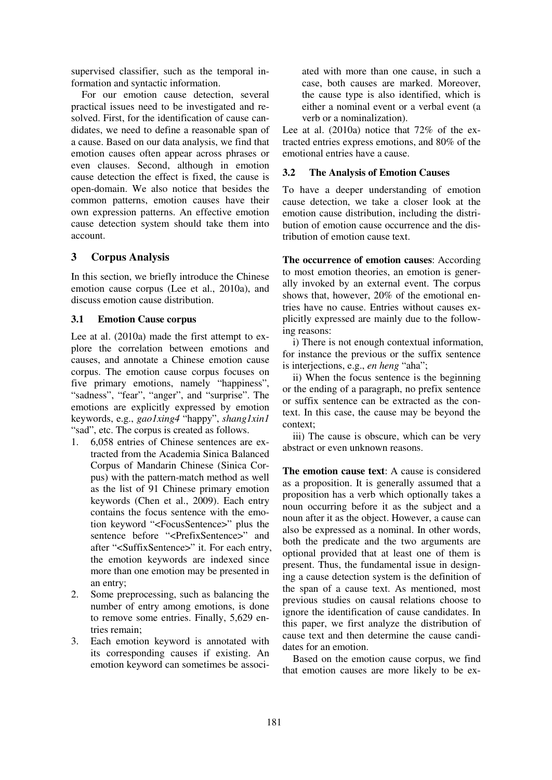supervised classifier, such as the temporal information and syntactic information.

For our emotion cause detection, several practical issues need to be investigated and resolved. First, for the identification of cause candidates, we need to define a reasonable span of a cause. Based on our data analysis, we find that emotion causes often appear across phrases or even clauses. Second, although in emotion cause detection the effect is fixed, the cause is open-domain. We also notice that besides the common patterns, emotion causes have their own expression patterns. An effective emotion cause detection system should take them into account.

# **3 Corpus Analysis**

In this section, we briefly introduce the Chinese emotion cause corpus (Lee et al., 2010a), and discuss emotion cause distribution.

#### **3.1 Emotion Cause corpus**

Lee at al. (2010a) made the first attempt to explore the correlation between emotions and causes, and annotate a Chinese emotion cause corpus. The emotion cause corpus focuses on five primary emotions, namely "happiness", "sadness", "fear", "anger", and "surprise". The emotions are explicitly expressed by emotion keywords, e.g., *gao1xing4* "happy", *shang1xin1* "sad", etc. The corpus is created as follows.

- 1. 6,058 entries of Chinese sentences are extracted from the Academia Sinica Balanced Corpus of Mandarin Chinese (Sinica Corpus) with the pattern-match method as well as the list of 91 Chinese primary emotion keywords (Chen et al., 2009). Each entry contains the focus sentence with the emotion keyword "<FocusSentence>" plus the sentence before "<PrefixSentence>" and after "<SuffixSentence>" it. For each entry, the emotion keywords are indexed since more than one emotion may be presented in an entry;
- 2. Some preprocessing, such as balancing the number of entry among emotions, is done to remove some entries. Finally, 5,629 entries remain;
- 3. Each emotion keyword is annotated with its corresponding causes if existing. An emotion keyword can sometimes be associ-

ated with more than one cause, in such a case, both causes are marked. Moreover, the cause type is also identified, which is either a nominal event or a verbal event (a verb or a nominalization).

Lee at al.  $(2010a)$  notice that  $72\%$  of the extracted entries express emotions, and 80% of the emotional entries have a cause.

#### **3.2 The Analysis of Emotion Causes**

To have a deeper understanding of emotion cause detection, we take a closer look at the emotion cause distribution, including the distribution of emotion cause occurrence and the distribution of emotion cause text.

**The occurrence of emotion causes**: According to most emotion theories, an emotion is generally invoked by an external event. The corpus shows that, however, 20% of the emotional entries have no cause. Entries without causes explicitly expressed are mainly due to the following reasons:

i) There is not enough contextual information, for instance the previous or the suffix sentence is interjections, e.g., *en heng* "aha";

ii) When the focus sentence is the beginning or the ending of a paragraph, no prefix sentence or suffix sentence can be extracted as the context. In this case, the cause may be beyond the context;

iii) The cause is obscure, which can be very abstract or even unknown reasons.

**The emotion cause text**: A cause is considered as a proposition. It is generally assumed that a proposition has a verb which optionally takes a noun occurring before it as the subject and a noun after it as the object. However, a cause can also be expressed as a nominal. In other words, both the predicate and the two arguments are optional provided that at least one of them is present. Thus, the fundamental issue in designing a cause detection system is the definition of the span of a cause text. As mentioned, most previous studies on causal relations choose to ignore the identification of cause candidates. In this paper, we first analyze the distribution of cause text and then determine the cause candidates for an emotion.

Based on the emotion cause corpus, we find that emotion causes are more likely to be ex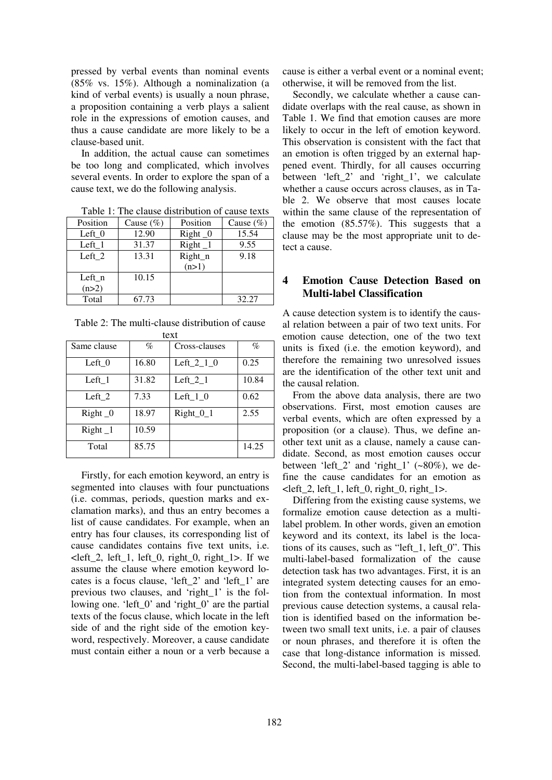pressed by verbal events than nominal events (85% vs. 15%). Although a nominalization (a kind of verbal events) is usually a noun phrase, a proposition containing a verb plays a salient role in the expressions of emotion causes, and thus a cause candidate are more likely to be a clause-based unit.

In addition, the actual cause can sometimes be too long and complicated, which involves several events. In order to explore the span of a cause text, we do the following analysis.

Table 1: The clause distribution of cause texts

| Position | Cause $(\% )$ | Position  | Cause $(\%)$ |
|----------|---------------|-----------|--------------|
| Left $0$ | 12.90         | $Right_0$ | 15.54        |
| Left 1   | 31.37         | $Right_1$ | 9.55         |
| Left 2   | 13.31         | Right_n   | 9.18         |
|          |               | (n>1)     |              |
| Left n   | 10.15         |           |              |
| (n>2)    |               |           |              |
| Total    | 67.73         |           | 32.27        |

Table 2: The multi-clause distribution of cause

| text        |       |                        |       |  |  |  |
|-------------|-------|------------------------|-------|--|--|--|
| Same clause | %     | Cross-clauses          | $\%$  |  |  |  |
| Left 0      | 16.80 | Left_2_1_0             | 0.25  |  |  |  |
| Left 1      | 31.82 | Left $_2$ <sub>1</sub> | 10.84 |  |  |  |
| Left $2$    | 7.33  | Left $_1_0$            | 0.62  |  |  |  |
| $Right_0$   | 18.97 | $Right_0_1$            | 2.55  |  |  |  |
| $Right_1$   | 10.59 |                        |       |  |  |  |
| Total       | 85.75 |                        | 14.25 |  |  |  |

Firstly, for each emotion keyword, an entry is segmented into clauses with four punctuations (i.e. commas, periods, question marks and exclamation marks), and thus an entry becomes a list of cause candidates. For example, when an entry has four clauses, its corresponding list of cause candidates contains five text units, i.e.  $\text{Left}\_2$ , left $\_1$ , left $\_0$ , right $\_0$ , right $\_1$ >. If we assume the clause where emotion keyword locates is a focus clause, 'left\_2' and 'left\_1' are previous two clauses, and 'right\_1' is the following one. 'left\_0' and 'right\_0' are the partial texts of the focus clause, which locate in the left side of and the right side of the emotion keyword, respectively. Moreover, a cause candidate must contain either a noun or a verb because a cause is either a verbal event or a nominal event; otherwise, it will be removed from the list.

Secondly, we calculate whether a cause candidate overlaps with the real cause, as shown in Table 1. We find that emotion causes are more likely to occur in the left of emotion keyword. This observation is consistent with the fact that an emotion is often trigged by an external happened event. Thirdly, for all causes occurring between 'left\_2' and 'right\_1', we calculate whether a cause occurs across clauses, as in Table 2. We observe that most causes locate within the same clause of the representation of the emotion  $(85.57\%)$ . This suggests that a clause may be the most appropriate unit to detect a cause.

# **4 Emotion Cause Detection Based on Multi-label Classification**

A cause detection system is to identify the causal relation between a pair of two text units. For emotion cause detection, one of the two text units is fixed (i.e. the emotion keyword), and therefore the remaining two unresolved issues are the identification of the other text unit and the causal relation.

From the above data analysis, there are two observations. First, most emotion causes are verbal events, which are often expressed by a proposition (or a clause). Thus, we define another text unit as a clause, namely a cause candidate. Second, as most emotion causes occur between 'left 2' and 'right 1'  $(-80\%)$ , we define the cause candidates for an emotion as  $\text{left\_2}$ , left $\_1$ , left $\_0$ , right $\_0$ , right $\_1$ .

Differing from the existing cause systems, we formalize emotion cause detection as a multilabel problem. In other words, given an emotion keyword and its context, its label is the locations of its causes, such as "left\_1, left\_0". This multi-label-based formalization of the cause detection task has two advantages. First, it is an integrated system detecting causes for an emotion from the contextual information. In most previous cause detection systems, a causal relation is identified based on the information between two small text units, i.e. a pair of clauses or noun phrases, and therefore it is often the case that long-distance information is missed. Second, the multi-label-based tagging is able to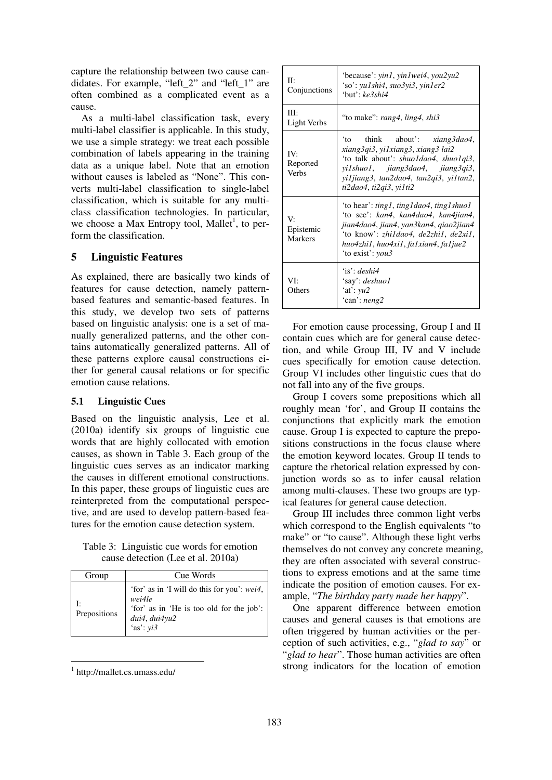capture the relationship between two cause candidates. For example, "left\_2" and "left\_1" are often combined as a complicated event as a cause.

As a multi-label classification task, every multi-label classifier is applicable. In this study, we use a simple strategy: we treat each possible combination of labels appearing in the training data as a unique label. Note that an emotion without causes is labeled as "None". This converts multi-label classification to single-label classification, which is suitable for any multiclass classification technologies. In particular, we choose a Max Entropy tool, Mallet<sup>1</sup>, to perform the classification.

### **5 Linguistic Features**

As explained, there are basically two kinds of features for cause detection, namely patternbased features and semantic-based features. In this study, we develop two sets of patterns based on linguistic analysis: one is a set of manually generalized patterns, and the other contains automatically generalized patterns. All of these patterns explore causal constructions either for general causal relations or for specific emotion cause relations.

#### **5.1 Linguistic Cues**

Based on the linguistic analysis, Lee et al. (2010a) identify six groups of linguistic cue words that are highly collocated with emotion causes, as shown in Table 3. Each group of the linguistic cues serves as an indicator marking the causes in different emotional constructions. In this paper, these groups of linguistic cues are reinterpreted from the computational perspective, and are used to develop pattern-based features for the emotion cause detection system.

Table 3: Linguistic cue words for emotion cause detection (Lee et al. 2010a)

| Group             | Cue Words                                                                                                                                 |
|-------------------|-------------------------------------------------------------------------------------------------------------------------------------------|
| Ŀ<br>Prepositions | 'for' as in 'I will do this for you': <i>wei4</i> ,<br>wei4le<br>'for' as in 'He is too old for the job':<br>dui4, dui4yu2<br>'as': $yi3$ |

 1 http://mallet.cs.umass.edu/

| H:<br>Conjunctions                | 'because': yin1, yin1wei4, you2yu2<br>'so': yu1shi4, suo3yi3, yin1er2<br>$'$ but': $ke$ 3shi4                                                                                                                                                         |
|-----------------------------------|-------------------------------------------------------------------------------------------------------------------------------------------------------------------------------------------------------------------------------------------------------|
| III:<br>Light Verbs               | "to make": rang4, ling4, shi3                                                                                                                                                                                                                         |
| IV:<br>Reported<br><b>Verbs</b>   | 'to think about': <i>xiang3dao4</i> ,<br>xiang3qi3, yi1xiang3, xiang3 lai2<br>'to talk about': shuo1dao4, shuo1qi3,<br>yi1shuo1, jiang3dao4, jiang3qi3,<br>yiljiang3, tan2dao4, tan2qi3, yiltan2,<br>ti2dao4, ti2qi3, yi1ti2                          |
| V.<br>Epistemic<br><b>Markers</b> | 'to hear': <i>ting1</i> , <i>ting1dao4</i> , <i>ting1shuo1</i><br>'to see': kan4, kan4dao4, kan4jian4,<br>jian4dao4, jian4, yan3kan4, giao2jian4<br>'to know': zhildao4, de2zhil, de2xil,<br>huo4zhi1, huo4xi1, fa1xian4, fa1jue2<br>'to exist': you3 |
| VI:<br>Others                     | $\mathbf{a}$ : deshi $\mathbf{a}$<br>'say': deshuo1<br>$'at$ : $vu2$<br>'can': $neng2$                                                                                                                                                                |

For emotion cause processing, Group I and II contain cues which are for general cause detection, and while Group III, IV and V include cues specifically for emotion cause detection. Group VI includes other linguistic cues that do not fall into any of the five groups.

Group I covers some prepositions which all roughly mean 'for', and Group II contains the conjunctions that explicitly mark the emotion cause. Group I is expected to capture the prepositions constructions in the focus clause where the emotion keyword locates. Group II tends to capture the rhetorical relation expressed by conjunction words so as to infer causal relation among multi-clauses. These two groups are typical features for general cause detection.

Group III includes three common light verbs which correspond to the English equivalents "to make" or "to cause". Although these light verbs themselves do not convey any concrete meaning, they are often associated with several constructions to express emotions and at the same time indicate the position of emotion causes. For example, "*The birthday party made her happy*".

One apparent difference between emotion causes and general causes is that emotions are often triggered by human activities or the perception of such activities, e.g., "*glad to say*" or "*glad to hear*". Those human activities are often strong indicators for the location of emotion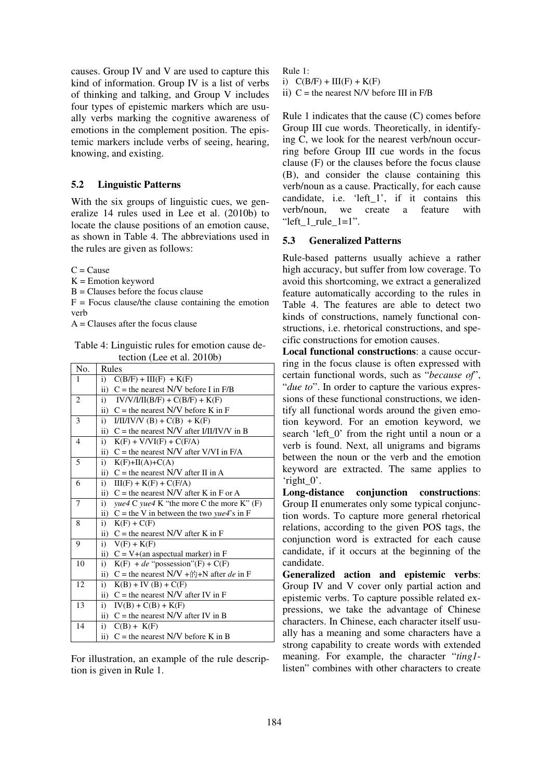causes. Group IV and V are used to capture this kind of information. Group IV is a list of verbs of thinking and talking, and Group V includes four types of epistemic markers which are usually verbs marking the cognitive awareness of emotions in the complement position. The epistemic markers include verbs of seeing, hearing, knowing, and existing.

#### **5.2 Linguistic Patterns**

With the six groups of linguistic cues, we generalize 14 rules used in Lee et al. (2010b) to locate the clause positions of an emotion cause, as shown in Table 4. The abbreviations used in the rules are given as follows:

 $C = C$ ause

 $K =$  Emotion keyword

 $B = Clauses$  before the focus clause

 $F =$  Focus clause/the clause containing the emotion verb

 $A =$ Clauses after the focus clause

Table 4: Linguistic rules for emotion cause detection (Lee et al. 2010b)

| No.            | Rules                                                          |
|----------------|----------------------------------------------------------------|
| 1              | $C(B/F) + III(F) + K(F)$<br>$\mathbf{i}$                       |
|                | ii)<br>$C$ = the nearest N/V before I in F/B                   |
| $\overline{2}$ | i)<br>$IV/V/I/II(B/F) + C(B/F) + K(F)$                         |
|                | ii) $C$ = the nearest N/V before K in F                        |
| 3              | i)<br>$I/II/IV/V (B) + C(B) + K(F)$                            |
|                | $C$ = the nearest N/V after I/II/IV/V in B<br>ii)              |
| $\overline{4}$ | i)<br>$K(F) + V/VI(F) + C(F/A)$                                |
|                | ii) $C =$ the nearest N/V after V/VI in F/A                    |
| 5              | i)<br>$K(F)+H(A)+C(A)$                                         |
|                | ii) $C$ = the nearest N/V after II in A                        |
| 6              | i)<br>$III(F) + K(F) + C(F/A)$                                 |
|                | $C =$ the nearest N/V after K in F or A<br>$\mathbf{ii}$ )     |
| $\overline{7}$ | yue 4 C yue 4 K "the more C the more K" $(F)$<br>i)            |
|                | ii) $C =$ the V in between the two yue4's in F                 |
| 8              | i)<br>$K(F) + C(F)$                                            |
|                | ii) $C$ = the nearest N/V after K in F                         |
| 9              | i)<br>$V(F) + K(F)$                                            |
|                | ii) $C = V+(an$ aspectual marker) in F                         |
| 10             | $K(F) + de$ "possession"(F) + C(F)<br>i)                       |
|                | ii) C = the nearest N/V + $\mathbb{M}$ +N after <i>de</i> in F |
| 12             | i)<br>$K(B) + IV(B) + C(F)$                                    |
|                | ii) $C$ = the nearest N/V after IV in F                        |
| 13             | i)<br>$IV(B) + C(B) + K(F)$                                    |
|                | ii) $C$ = the nearest N/V after IV in B                        |
| 14             | $C(B) + K(F)$<br>i)                                            |
|                | ii) $C$ = the nearest N/V before K in B                        |

For illustration, an example of the rule description is given in Rule 1.

Rule 1: i)  $C(B/F) + III(F) + K(F)$ ii)  $C$  = the nearest N/V before III in  $F/B$ 

Rule 1 indicates that the cause (C) comes before Group III cue words. Theoretically, in identifying C, we look for the nearest verb/noun occurring before Group III cue words in the focus clause (F) or the clauses before the focus clause (B), and consider the clause containing this verb/noun as a cause. Practically, for each cause candidate, i.e. 'left\_1', if it contains this verb/noun, we create a feature with "left  $1$  rule  $1=1$ ".

### **5.3 Generalized Patterns**

Rule-based patterns usually achieve a rather high accuracy, but suffer from low coverage. To avoid this shortcoming, we extract a generalized feature automatically according to the rules in Table 4. The features are able to detect two kinds of constructions, namely functional constructions, i.e. rhetorical constructions, and specific constructions for emotion causes.

**Local functional constructions**: a cause occurring in the focus clause is often expressed with certain functional words, such as "*because of*", "*due to*". In order to capture the various expressions of these functional constructions, we identify all functional words around the given emotion keyword. For an emotion keyword, we search 'left 0' from the right until a noun or a verb is found. Next, all unigrams and bigrams between the noun or the verb and the emotion keyword are extracted. The same applies to 'right\_0'.

**Long-distance conjunction constructions**: Group II enumerates only some typical conjunction words. To capture more general rhetorical relations, according to the given POS tags, the conjunction word is extracted for each cause candidate, if it occurs at the beginning of the candidate.

**Generalized action and epistemic verbs**: Group IV and V cover only partial action and epistemic verbs. To capture possible related expressions, we take the advantage of Chinese characters. In Chinese, each character itself usually has a meaning and some characters have a strong capability to create words with extended meaning. For example, the character "*ting1* listen" combines with other characters to create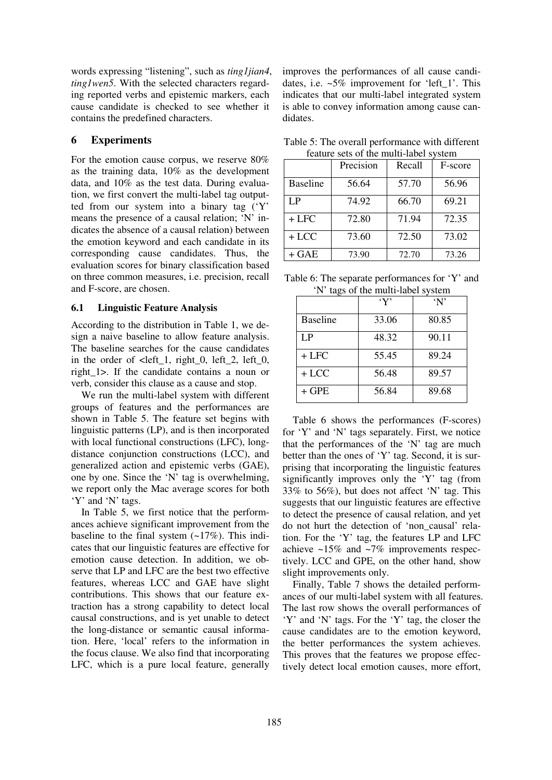words expressing "listening", such as *ting1jian4*, *ting1wen5*. With the selected characters regarding reported verbs and epistemic markers, each cause candidate is checked to see whether it contains the predefined characters.

#### **6 Experiments**

For the emotion cause corpus, we reserve 80% as the training data, 10% as the development data, and 10% as the test data. During evaluation, we first convert the multi-label tag outputted from our system into a binary tag ('Y' means the presence of a causal relation; 'N' indicates the absence of a causal relation) between the emotion keyword and each candidate in its corresponding cause candidates. Thus, the evaluation scores for binary classification based on three common measures, i.e. precision, recall and F-score, are chosen.

#### **6.1 Linguistic Feature Analysis**

According to the distribution in Table 1, we design a naive baseline to allow feature analysis. The baseline searches for the cause candidates in the order of  $\leq$  left\_1, right\_0, left\_2, left\_0, right\_1>. If the candidate contains a noun or verb, consider this clause as a cause and stop.

We run the multi-label system with different groups of features and the performances are shown in Table 5. The feature set begins with linguistic patterns (LP), and is then incorporated with local functional constructions (LFC), longdistance conjunction constructions (LCC), and generalized action and epistemic verbs (GAE), one by one. Since the 'N' tag is overwhelming, we report only the Mac average scores for both 'Y' and 'N' tags.

In Table 5, we first notice that the performances achieve significant improvement from the baseline to the final system  $(-17\%)$ . This indicates that our linguistic features are effective for emotion cause detection. In addition, we observe that LP and LFC are the best two effective features, whereas LCC and GAE have slight contributions. This shows that our feature extraction has a strong capability to detect local causal constructions, and is yet unable to detect the long-distance or semantic causal information. Here, 'local' refers to the information in the focus clause. We also find that incorporating LFC, which is a pure local feature, generally improves the performances of all cause candidates, i.e.  $\sim 5\%$  improvement for 'left 1'. This indicates that our multi-label integrated system is able to convey information among cause candidates.

| Table 5: The overall performance with different |  |
|-------------------------------------------------|--|
| feature sets of the multi-label system          |  |

|                 | Precision | Recall | F-score |
|-----------------|-----------|--------|---------|
| <b>Baseline</b> | 56.64     | 57.70  | 56.96   |
| I P             | 74.92     | 66.70  | 69.21   |
| $+$ LFC         | 72.80     | 71.94  | 72.35   |
| $+ LCC$         | 73.60     | 72.50  | 73.02   |
| + GAE           | 73.90     | 72.70  | 73.26   |

| Table 6: The separate performances for 'Y' and |  |
|------------------------------------------------|--|
| 'N' tags of the multi-label system             |  |

|                 | $\cdot_Y$ | $\mathbf{N}$ |
|-----------------|-----------|--------------|
| <b>Baseline</b> | 33.06     | 80.85        |
| LP              | 48.32     | 90.11        |
| + LFC           | 55.45     | 89.24        |
| $+ LCC$         | 56.48     | 89.57        |
| $+$ GPE         | 56.84     | 89.68        |

Table 6 shows the performances (F-scores) for 'Y' and 'N' tags separately. First, we notice that the performances of the 'N' tag are much better than the ones of 'Y' tag. Second, it is surprising that incorporating the linguistic features significantly improves only the 'Y' tag (from 33% to 56%), but does not affect 'N' tag. This suggests that our linguistic features are effective to detect the presence of causal relation, and yet do not hurt the detection of 'non\_causal' relation. For the 'Y' tag, the features LP and LFC achieve ~15% and ~7% improvements respectively. LCC and GPE, on the other hand, show slight improvements only.

Finally, Table 7 shows the detailed performances of our multi-label system with all features. The last row shows the overall performances of 'Y' and 'N' tags. For the 'Y' tag, the closer the cause candidates are to the emotion keyword, the better performances the system achieves. This proves that the features we propose effectively detect local emotion causes, more effort,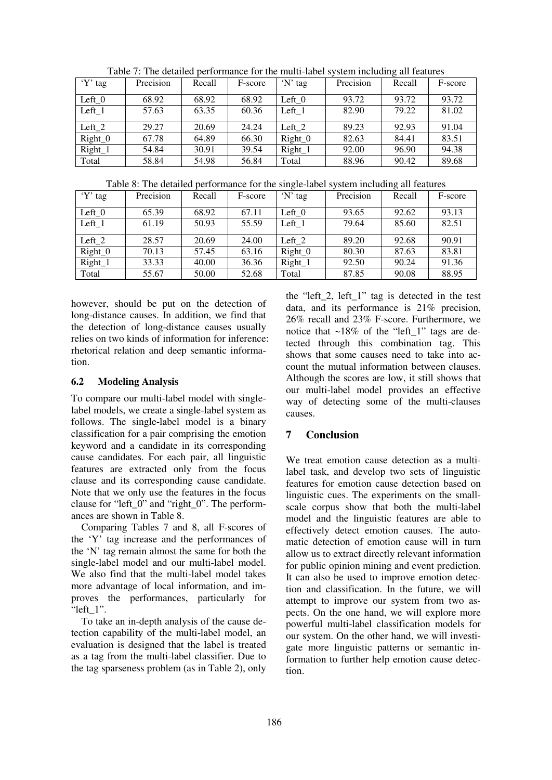| 'Y' tag   | Precision | Recall | F-score | 'N' tag   | Precision | Recall | F-score |
|-----------|-----------|--------|---------|-----------|-----------|--------|---------|
| Left $_0$ | 68.92     | 68.92  | 68.92   | Left $_0$ | 93.72     | 93.72  | 93.72   |
| Left 1    | 57.63     | 63.35  | 60.36   | Left $1$  | 82.90     | 79.22  | 81.02   |
| Left 2    | 29.27     | 20.69  | 24.24   | Left $2$  | 89.23     | 92.93  | 91.04   |
| $Right_0$ | 67.78     | 64.89  | 66.30   | $Right_0$ | 82.63     | 84.41  | 83.51   |
| Right_1   | 54.84     | 30.91  | 39.54   | Right_1   | 92.00     | 96.90  | 94.38   |
| Total     | 58.84     | 54.98  | 56.84   | Total     | 88.96     | 90.42  | 89.68   |

Table 7: The detailed performance for the multi-label system including all features

Table 8: The detailed performance for the single-label system including all features

| 'Y' tag   | Precision | Recall | F-score | 'N' tag   | Precision | Recall | F-score |
|-----------|-----------|--------|---------|-----------|-----------|--------|---------|
| Left $0$  | 65.39     | 68.92  | 67.11   | Left $0$  | 93.65     | 92.62  | 93.13   |
| Left 1    | 61.19     | 50.93  | 55.59   | Left $1$  | 79.64     | 85.60  | 82.51   |
| Left $2$  | 28.57     | 20.69  | 24.00   | Left_ $2$ | 89.20     | 92.68  | 90.91   |
| $Right_0$ | 70.13     | 57.45  | 63.16   | $Right_0$ | 80.30     | 87.63  | 83.81   |
| $Right_1$ | 33.33     | 40.00  | 36.36   | Right_1   | 92.50     | 90.24  | 91.36   |
| Total     | 55.67     | 50.00  | 52.68   | Total     | 87.85     | 90.08  | 88.95   |

however, should be put on the detection of long-distance causes. In addition, we find that the detection of long-distance causes usually relies on two kinds of information for inference: rhetorical relation and deep semantic information.

### **6.2 Modeling Analysis**

To compare our multi-label model with singlelabel models, we create a single-label system as follows. The single-label model is a binary classification for a pair comprising the emotion keyword and a candidate in its corresponding cause candidates. For each pair, all linguistic features are extracted only from the focus clause and its corresponding cause candidate. Note that we only use the features in the focus clause for "left\_0" and "right\_0". The performances are shown in Table 8.

Comparing Tables 7 and 8, all F-scores of the 'Y' tag increase and the performances of the 'N' tag remain almost the same for both the single-label model and our multi-label model. We also find that the multi-label model takes more advantage of local information, and improves the performances, particularly for "left\_1".

To take an in-depth analysis of the cause detection capability of the multi-label model, an evaluation is designed that the label is treated as a tag from the multi-label classifier. Due to the tag sparseness problem (as in Table 2), only

the "left\_2, left\_1" tag is detected in the test data, and its performance is 21% precision, 26% recall and 23% F-score. Furthermore, we notice that  $\sim$ 18% of the "left 1" tags are detected through this combination tag. This shows that some causes need to take into account the mutual information between clauses. Although the scores are low, it still shows that our multi-label model provides an effective way of detecting some of the multi-clauses causes.

# **7 Conclusion**

We treat emotion cause detection as a multilabel task, and develop two sets of linguistic features for emotion cause detection based on linguistic cues. The experiments on the smallscale corpus show that both the multi-label model and the linguistic features are able to effectively detect emotion causes. The automatic detection of emotion cause will in turn allow us to extract directly relevant information for public opinion mining and event prediction. It can also be used to improve emotion detection and classification. In the future, we will attempt to improve our system from two aspects. On the one hand, we will explore more powerful multi-label classification models for our system. On the other hand, we will investigate more linguistic patterns or semantic information to further help emotion cause detection.